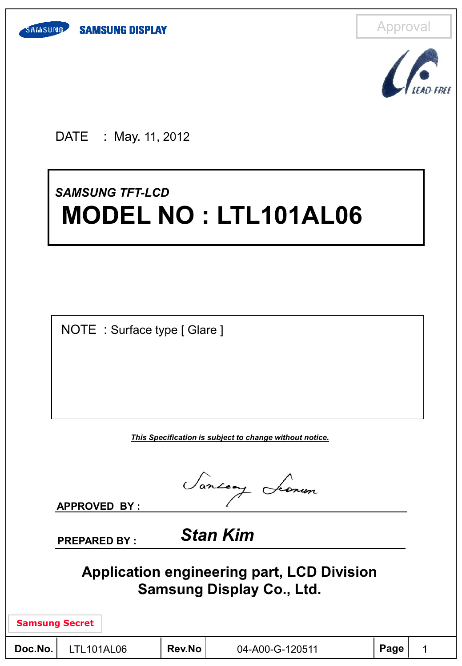



DATE : May. 11, 2012

# *SAMSUNG TFT -LCD* **MODEL NO : LTL101AL06**

NOTE : Surface type [ Glare ]

*This Specification is subject to change without notice.*

Sancony Leonen

**APPROVED BY :** 

**PREPARED BY :** *Stan Kim*

**Application engineering part, LCD Division Samsung Display Co., Ltd.**

| <b>Samsung Secret</b> |  |
|-----------------------|--|
|-----------------------|--|

| Doc.No. | LTL <sub>10</sub> |
|---------|-------------------|
|         |                   |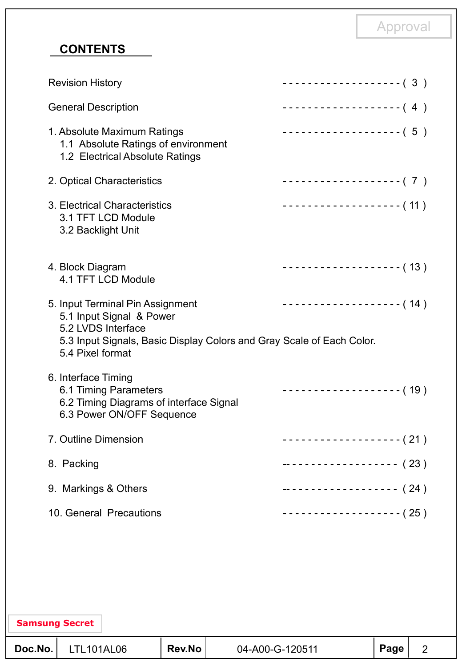# **CONTENTS**

**Samsung Secret**

| <b>Revision History</b>                                                                                                                                                         | ------------------- (3)    |
|---------------------------------------------------------------------------------------------------------------------------------------------------------------------------------|----------------------------|
| <b>General Description</b>                                                                                                                                                      | ------------------- (4)    |
| 1. Absolute Maximum Ratings<br>1.1 Absolute Ratings of environment<br>1.2 Electrical Absolute Ratings                                                                           | ------------------- (5)    |
| 2. Optical Characteristics                                                                                                                                                      | ------------------- (7)    |
| 3. Electrical Characteristics<br>3.1 TFT LCD Module<br>3.2 Backlight Unit                                                                                                       | -------------------- (11 ) |
| 4. Block Diagram<br>4.1 TFT LCD Module                                                                                                                                          | ------------------- (13)   |
| 5. Input Terminal Pin Assignment<br>5.1 Input Signal & Power<br>5.2 LVDS Interface<br>5.3 Input Signals, Basic Display Colors and Gray Scale of Each Color.<br>5.4 Pixel format | $------------(14)$         |
| 6. Interface Timing<br>6.1 Timing Parameters<br>6.2 Timing Diagrams of interface Signal<br>6.3 Power ON/OFF Sequence                                                            | ------------------- (19)   |
| 7. Outline Dimension                                                                                                                                                            | ------------------- (21 )  |
| 8. Packing                                                                                                                                                                      | ------------------- (23)   |
| 9. Markings & Others                                                                                                                                                            | ------------------ (24)    |
| 10. General Precautions                                                                                                                                                         | -------------------- (25)  |
|                                                                                                                                                                                 |                            |

# **Doc.No.** LTL101AL06 Rev.No 04-A00-G-120511 Page 2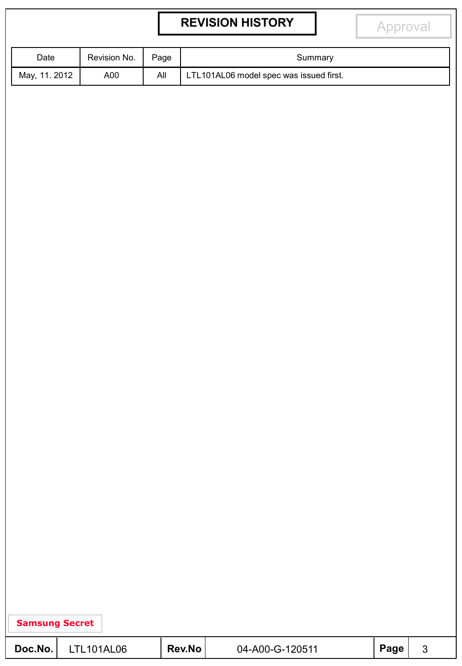# **REVISION HISTORY**

Approval

| Date          | Revision No. | Page | Summary                                 |
|---------------|--------------|------|-----------------------------------------|
| May, 11. 2012 | A00          | All  | LTL101AL06 model spec was issued first. |

| Doc.No. | <b>LTL101AL06</b> | <b>Rev.No</b> | 04-A00-G-120511 | ∣ Page <sup>I</sup> |  |  |
|---------|-------------------|---------------|-----------------|---------------------|--|--|
|---------|-------------------|---------------|-----------------|---------------------|--|--|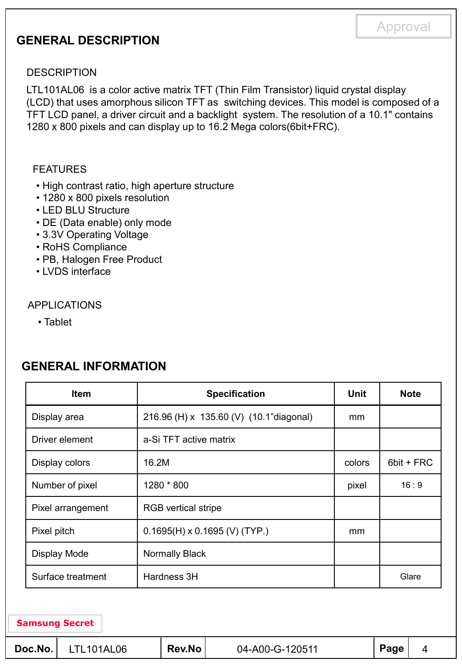### **GENERAL DESCRIPTION**

#### **DESCRIPTION**

LTL101AL06 is a color active matrix TFT (Thin Film Transistor) liquid crystal display (LCD) that uses amorphous silicon TFT as switching devices. This model is composed of a TFT LCD panel, a driver circuit and a backlight system. The resolution of a 10.1" contains 1280 x 800 pixels and can display up to 16.2 Mega colors(6bit+FRC).

#### FEATURES

- High contrast ratio, high aperture structure
- 1280 x 800 pixels resolution
- LED BLU Structure
- DE (Data enable) only mode
- 3.3V Operating Voltage
- RoHS Compliance
- PB, Halogen Free Product
- LVDS interface

#### APPLICATIONS

• Tablet

| <b>Item</b>       | <b>Specification</b>                    | <b>Unit</b> | <b>Note</b> |
|-------------------|-----------------------------------------|-------------|-------------|
| Display area      | 216.96 (H) x 135.60 (V) (10.1"diagonal) | mm          |             |
| Driver element    | a-Si TFT active matrix                  |             |             |
| Display colors    | 16.2M                                   | colors      | 6bit + FRC  |
| Number of pixel   | 1280 * 800                              | pixel       | 16:9        |
| Pixel arrangement | <b>RGB</b> vertical stripe              |             |             |
| Pixel pitch       | $0.1695(H) \times 0.1695$ (V) (TYP.)    | mm          |             |
| Display Mode      | Normally Black                          |             |             |
| Surface treatment | Hardness 3H                             |             | Glare       |

### **GENERAL INFORMATION**

| Doc.No. | LTL101AL06 | <b>Rev.No</b> | 04-A00-G-120511 | Page |  |
|---------|------------|---------------|-----------------|------|--|
|---------|------------|---------------|-----------------|------|--|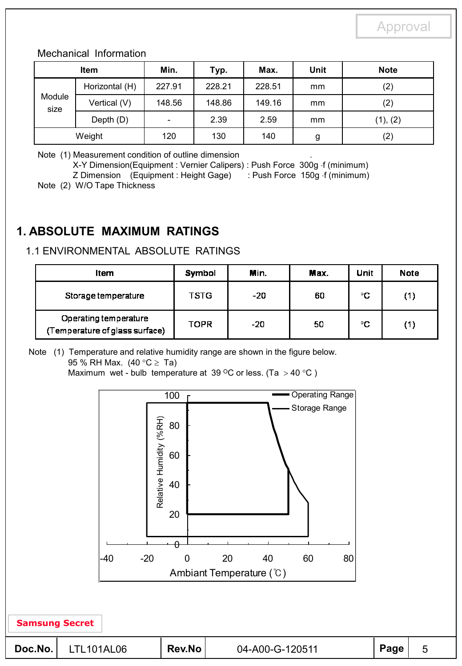#### Mechanical Information

|                | <b>Item</b>    | Min.                         | Typ.   | Max.   | <b>Unit</b> | <b>Note</b> |
|----------------|----------------|------------------------------|--------|--------|-------------|-------------|
|                | Horizontal (H) | 227.91                       | 228.21 | 228.51 | mm          | (2)         |
| Module<br>size | Vertical (V)   | 148.56                       | 148.86 | 149.16 | mm          | (2)         |
|                | Depth (D)      | $\qquad \qquad \blacksquare$ | 2.39   | 2.59   | mm          | (1), (2)    |
|                | Weight         | 120                          | 130    | 140    | g           | (2)         |

Note (1) Measurement condition of outline dimension .

X-Y Dimension(Equipment : Vernier Calipers) : Push Force 300g f (minimum)

Z Dimension (Equipment : Height Gage) : Push Force 150g f (minimum)

Note (2) W/O Tape Thickness

# **1. ABSOLUTE MAXIMUM RATINGS**

### 1.1 ENVIRONMENTAL ABSOLUTE RATINGS

| ltem                                                    | Symbol      | Min. | Max. | Unit | <b>Note</b> |
|---------------------------------------------------------|-------------|------|------|------|-------------|
| Storage temperature                                     | <b>TSTG</b> | -20  | 60   | °C   | (1)         |
| Operating temperature<br>(Temperature of glass surface) | <b>TOPR</b> | -20  | 50   | °C   | 1)          |

Note (1) Temperature and relative humidity range are shown in the figure below. 95 % RH Max.  $(40 °C \geq Ta)$ 

Maximum wet - bulb temperature at 39 °C or less. (Ta  $>$  40 °C )

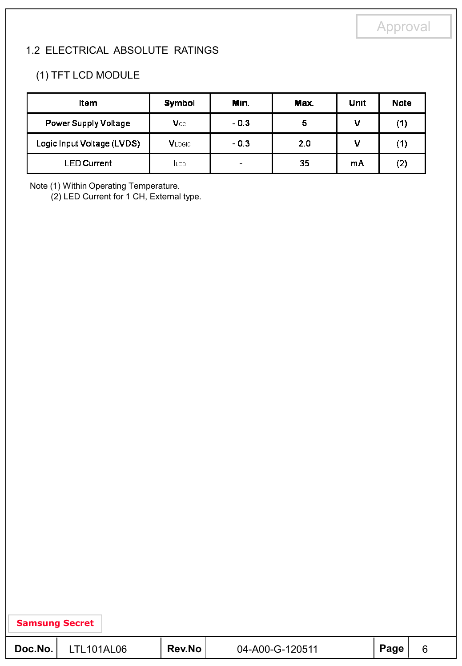### 1.2 ELECTRICAL ABSOLUTE RATINGS

### (1) TFT LCD MODULE

| Item                       | Symbol        | Min.                     | Max. | Unit | <b>Note</b> |
|----------------------------|---------------|--------------------------|------|------|-------------|
| Power Supply Voltage       | Vcc           | $-0.3$                   | 5    |      | (1)         |
| Logic Input Voltage (LVDS) | <b>VLOGIC</b> | $-0.3$                   | 2.0  |      | (1)         |
| LED Current                | <b>ILED</b>   | $\overline{\phantom{0}}$ | 35   | mA   | (2)         |

Note (1) Within Operating Temperature.

(2) LED Current for 1 CH, External type.

| Doc.No. | <b>LTL101AL06</b> | <b>Rev.No</b> | 04-A00-G-120511 | Page |  |
|---------|-------------------|---------------|-----------------|------|--|
|---------|-------------------|---------------|-----------------|------|--|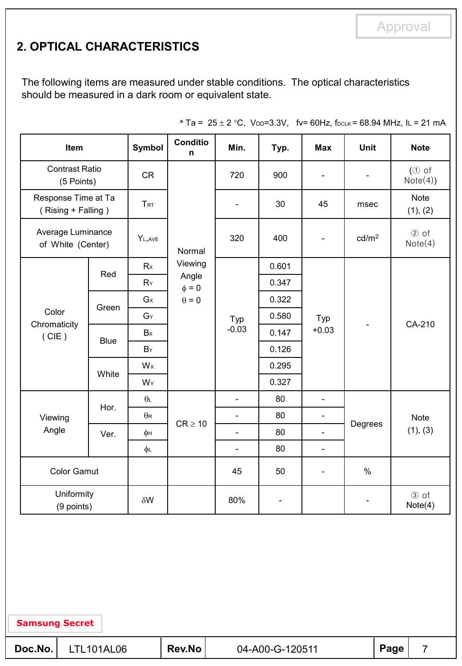# **2. OPTICAL CHARACTERISTICS**

The following items are measured under stable conditions. The optical characteristics should be measured in a dark room or equivalent state.

| Item                                      |                                        | Symbol     | <b>Conditio</b><br>n | Min.                     | Typ.                     | <b>Max</b>               | <b>Unit</b>              | <b>Note</b>             |
|-------------------------------------------|----------------------------------------|------------|----------------------|--------------------------|--------------------------|--------------------------|--------------------------|-------------------------|
| <b>Contrast Ratio</b><br>(5 Points)       |                                        | CR         |                      | 720                      | 900                      | $\overline{\phantom{a}}$ |                          | $(①$ of<br>Note(4))     |
| Response Time at Ta<br>(Rising + Falling) |                                        | <b>TRT</b> |                      | $\overline{\phantom{a}}$ | 30                       | 45                       | msec                     | <b>Note</b><br>(1), (2) |
|                                           | Average Luminance<br>of White (Center) |            | Normal               | 320                      | 400                      | $\overline{\phantom{a}}$ | cd/m <sup>2</sup>        | $(2)$ of<br>Note(4)     |
|                                           | Red                                    | Rx         | Viewing              |                          | 0.601                    |                          |                          |                         |
|                                           |                                        | $R_Y$      | Angle<br>$\phi = 0$  |                          | 0.347                    |                          | $\overline{\phantom{0}}$ |                         |
|                                           | Green                                  | $G \times$ | $\theta = 0$         | Typ<br>$-0.03$           | 0.322                    | Typ<br>$+0.03$           |                          |                         |
| Color<br>Chromaticity                     |                                        | GY         |                      |                          | 0.580                    |                          |                          | CA-210                  |
| (CIE)                                     | <b>Blue</b>                            | Bx         |                      |                          | 0.147                    |                          |                          |                         |
|                                           |                                        | BY         |                      |                          | 0.126                    |                          |                          |                         |
|                                           | White                                  | Wx         |                      |                          | 0.295                    |                          |                          |                         |
|                                           |                                        | WY         |                      |                          | 0.327                    |                          |                          |                         |
|                                           | Hor.                                   | $\theta$   |                      | $\blacksquare$           | 80                       | $\blacksquare$           |                          |                         |
| Viewing                                   |                                        | $\theta$ R | $CR \geq 10$         | $\blacksquare$           | 80                       | $\blacksquare$           |                          | <b>Note</b>             |
| Angle                                     | Ver.                                   | φн         |                      | $\blacksquare$           | 80                       | $\overline{\phantom{a}}$ | Degrees                  | (1), (3)                |
|                                           |                                        | φL         |                      | $\overline{\phantom{a}}$ | 80                       | $\overline{\phantom{a}}$ |                          |                         |
| <b>Color Gamut</b>                        |                                        |            |                      | 45                       | 50                       | $\overline{\phantom{a}}$ | $\%$                     |                         |
| Uniformity<br>(9 points)                  |                                        | $\delta W$ |                      | 80%                      | $\overline{\phantom{a}}$ |                          |                          | 3 of<br>Note(4)         |

\* Ta =  $25 \pm 2$  °C, V<sub>DD</sub>=3.3V, fv= 60Hz, f<sub>DCLK</sub> = 68.94 MHz, IL = 21 mA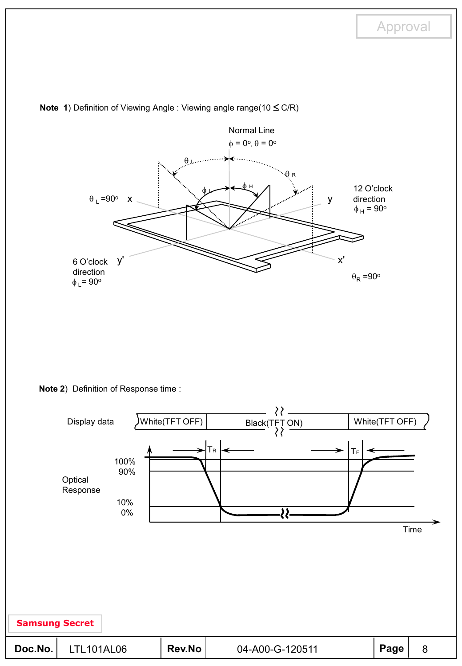

**Note 1**) Definition of Viewing Angle : Viewing angle range(10  $\leq$  C/R)

**Note 2**) Definition of Response time :

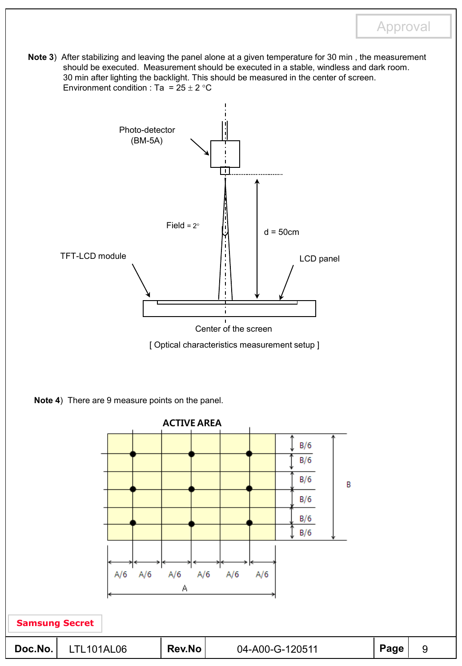**Note 3**) After stabilizing and leaving the panel alone at a given temperature for 30 min , the measurement should be executed. Measurement should be executed in a stable, windless and dark room. 30 min after lighting the backlight. This should be measured in the center of screen. Environment condition : Ta =  $25 \pm 2$  °C





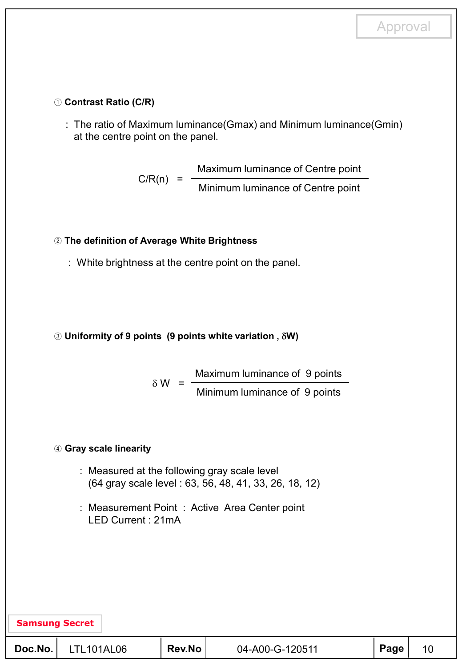#### ① **Contrast Ratio (C/R)**

: The ratio of Maximum luminance(Gmax) and Minimum luminance(Gmin) at the centre point on the panel.

> Maximum luminance of Centre point  $C/R(n) = \frac{C}{\text{Minimum luminance of Centre point}}$

#### ② **The definition of Average White Brightness**

: White brightness at the centre point on the panel.

#### ③ **Uniformity of 9 points (9 points white variation ,** G**W)**

Maximum luminance of 9 points Minimum luminance of 9 points  $\delta W =$ 

#### ④ **Gray scale linearity**

- : Measured at the following gray scale level (64 gray scale level : 63, 56, 48, 41, 33, 26, 18, 12)
- : Measurement Point : Active Area Center point LED Current : 21mA

| <b>Samsung Secret</b> |            |        |                 |      |  |
|-----------------------|------------|--------|-----------------|------|--|
| Doc.No.               | LTL101AL06 | Rev.No | 04-A00-G-120511 | Page |  |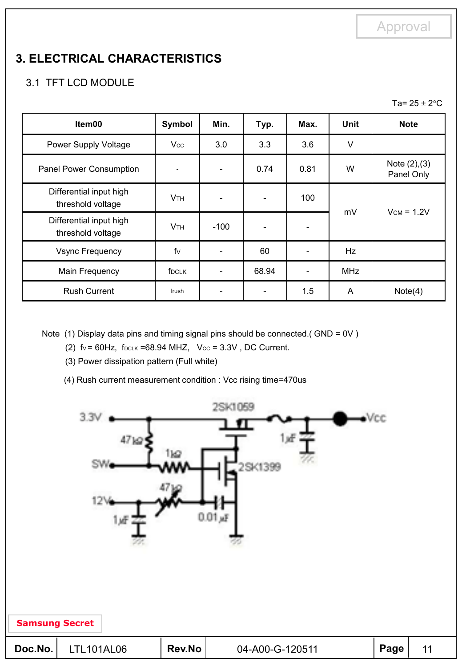# **3. ELECTRICAL CHARACTERISTICS**

### 3.1 TFT LCD MODULE

Ta=  $25 \pm 2$ °C

| Item00                                       | Symbol                 | Min.           | Typ.  | Max.                     | <b>Unit</b> | <b>Note</b>                   |
|----------------------------------------------|------------------------|----------------|-------|--------------------------|-------------|-------------------------------|
| Power Supply Voltage                         | $V_{\rm CC}$           | 3.0            | 3.3   | 3.6                      | V           |                               |
| Panel Power Consumption                      |                        | $\blacksquare$ | 0.74  | 0.81                     | W           | Note $(2), (3)$<br>Panel Only |
| Differential input high<br>threshold voltage | <b>V</b> <sub>TH</sub> |                |       | 100                      |             | $V_{CM} = 1.2V$               |
| Differential input high<br>threshold voltage | <b>VTH</b>             | -100           |       |                          | mV          |                               |
| <b>Vsync Frequency</b>                       | $f_{V}$                |                | 60    |                          | Hz          |                               |
| Main Frequency                               | f <sub>DCLK</sub>      |                | 68.94 | $\overline{\phantom{a}}$ | <b>MHz</b>  |                               |
| <b>Rush Current</b>                          | Irush                  |                |       | 1.5                      | A           | Note(4)                       |

Note (1) Display data pins and timing signal pins should be connected.( GND = 0V )

(2)  $f_v = 60Hz$ ,  $f_{DCLK} = 68.94 MHz$ ,  $V_{CC} = 3.3V$ , DC Current.

(3) Power dissipation pattern (Full white)

(4) Rush current measurement condition : Vcc rising time=470us

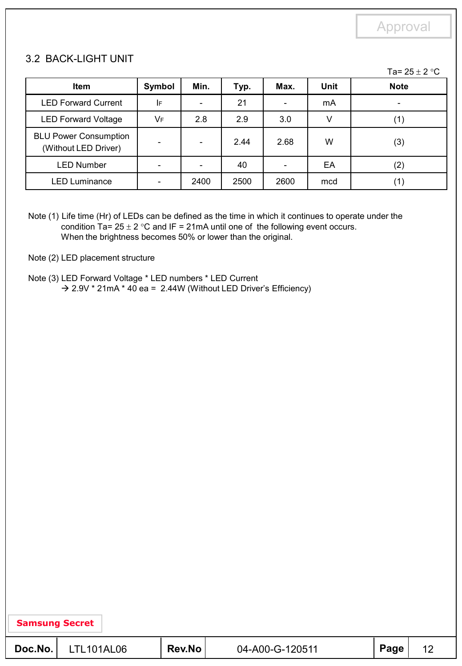#### 3.2 BACK-LIGHT UNIT

Ta=  $25 \pm 2$  °C

| <b>Item</b>                                          | Symbol | Min. | Typ. | Max. | Unit | <b>Note</b>       |
|------------------------------------------------------|--------|------|------|------|------|-------------------|
| <b>LED Forward Current</b>                           | I۴     |      | 21   |      | mA   |                   |
| <b>LED Forward Voltage</b>                           | VF     | 2.8  | 2.9  | 3.0  |      | $\left( 1\right)$ |
| <b>BLU Power Consumption</b><br>(Without LED Driver) |        |      | 2.44 | 2.68 | W    | (3)               |
| <b>LED Number</b>                                    |        |      | 40   |      | EA   | (2)               |
| <b>LED Luminance</b>                                 |        | 2400 | 2500 | 2600 | mcd  | (1)               |

Note (1) Life time (Hr) of LEDs can be defined as the time in which it continues to operate under the condition Ta=  $25 \pm 2$  °C and IF = 21mA until one of the following event occurs. When the brightness becomes 50% or lower than the original.

Note (2) LED placement structure

Note (3) LED Forward Voltage \* LED numbers \* LED Current  $\rightarrow$  2.9V \* 21mA \* 40 ea = 2.44W (Without LED Driver's Efficiency)

| Doc.No. | LTL101AL06 | <b>Rev.No</b> | 04-A00-G-120511 | Page |  |
|---------|------------|---------------|-----------------|------|--|
|---------|------------|---------------|-----------------|------|--|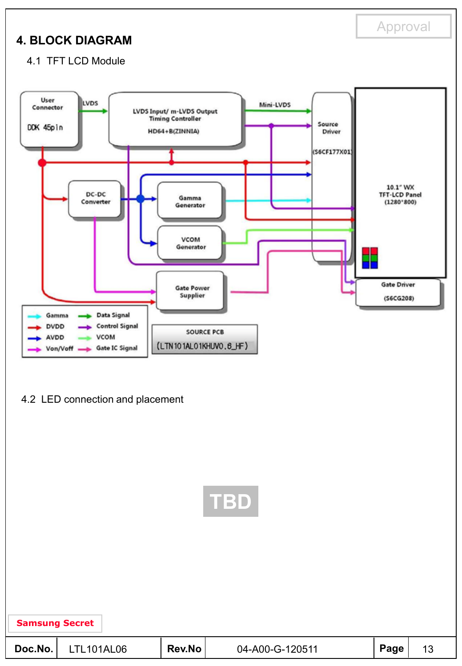# **4. BLOCK DIAGRAM**

Approval

4.1 TFT LCD Module



4.2 LED connection and placement



**Doc.No.** LTL101AL06 Rev.No 04-A00-G-120511 Page 13 **Samsung Secret**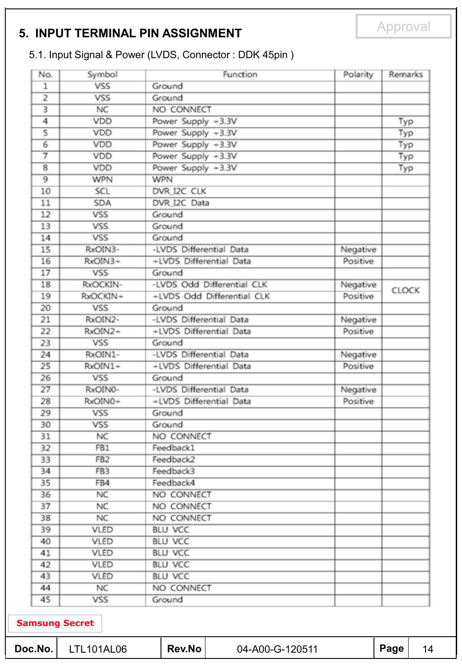### **5. INPUT TERMINAL PIN ASSIGNMENT**

# 5.1. Input Signal & Power (LVDS, Connector : DDK 45pin )

| No.                     | Symbol          | Function                   | Polarity | Remarks      |
|-------------------------|-----------------|----------------------------|----------|--------------|
| $\mathbf{1}$            | VSS             | Ground                     |          |              |
| 2                       | VSS             | Ground                     |          |              |
| $\overline{\mathbf{3}}$ | <b>NC</b>       | NO CONNECT                 |          |              |
| 4                       | VDD             | Power Supply +3.3V         |          | Typ          |
| 5                       | VDD             | Power Supply +3.3V         |          | Typ          |
| 6                       | VDD             | Power Supply +3.3V         |          | Typ          |
| 7                       | VDD             | Power Supply +3.3V         |          | Тур          |
| $\overline{\mathbf{8}}$ | VDD             | Power Supply +3.3V         |          | Typ          |
| $\overline{9}$          | <b>WPN</b>      | <b>WPN</b>                 |          |              |
| 10                      | SCL             | DVR I2C CLK                |          |              |
| 11                      | <b>SDA</b>      | DVR I2C Data               |          |              |
| 12                      | VSS             | Ground                     |          |              |
| 13                      | <b>VSS</b>      | Ground                     |          |              |
| 14                      | <b>VSS</b>      | Ground                     |          |              |
| $\overline{15}$         | RxOIN3-         | -LVDS Differential Data    | Negative |              |
| 16                      | RxOIN3+         | +LVDS Differential Data    | Positive |              |
| 17                      | VSS             | Ground                     |          |              |
| 18                      | RxOCKIN-        | -LVDS Odd Differential CLK | Negative | <b>CLOCK</b> |
| 19                      | RxOCKIN+        | +LVDS Odd Differential CLK | Positive |              |
| 20                      | VSS             | Ground                     |          |              |
| 21                      | RxOIN2-         | -LVDS Differential Data    | Negative |              |
| 22                      | RxOIN2+         | +LVDS Differential Data    | Positive |              |
| 23                      | VSS             | Ground                     |          |              |
| 24                      | RxOIN1-         | -LVDS Differential Data    | Negative |              |
| 25                      | RxOIN1+         | +LVDS Differential Data    | Positive |              |
| 26                      | VSS             | Ground                     |          |              |
| 27                      | RxOIN0-         | -LVDS Differential Data    | Negative |              |
| 28                      | RxOIN0+         | +LVDS Differential Data    | Positive |              |
| 29                      | VSS             | Ground                     |          |              |
| 30                      | VSS             | Ground                     |          |              |
| 31                      | <b>NC</b>       | NO CONNECT                 |          |              |
| 32                      | FB1             | Feedback1                  |          |              |
| 33                      | FB <sub>2</sub> | Feedback2                  |          |              |
| 34                      | FB <sub>3</sub> | Feedback3                  |          |              |
| 35                      | FB4             | Feedback4                  |          |              |
| 36                      | NC              | NO CONNECT                 |          |              |
| 37                      | NC              | NO CONNECT                 |          |              |
| 38                      | NC              | NO CONNECT                 |          |              |
| 39                      | VLED            | <b>BLU VCC</b>             |          |              |
| 40                      | VLED            | <b>BLU VCC</b>             |          |              |
| 41                      | VLED            | <b>BLU VCC</b>             |          |              |
| 42                      | VLED            | <b>BLU VCC</b>             |          |              |
| 43                      | VLED            | <b>BLU VCC</b>             |          |              |
| 44                      | NC              | NO CONNECT                 |          |              |
| 45                      | VSS             | Ground                     |          |              |

|  | Doc.No. | TL101AL06 | <b>Rev.No</b> | 04-A00-G-120511 | Page | 14 |
|--|---------|-----------|---------------|-----------------|------|----|
|--|---------|-----------|---------------|-----------------|------|----|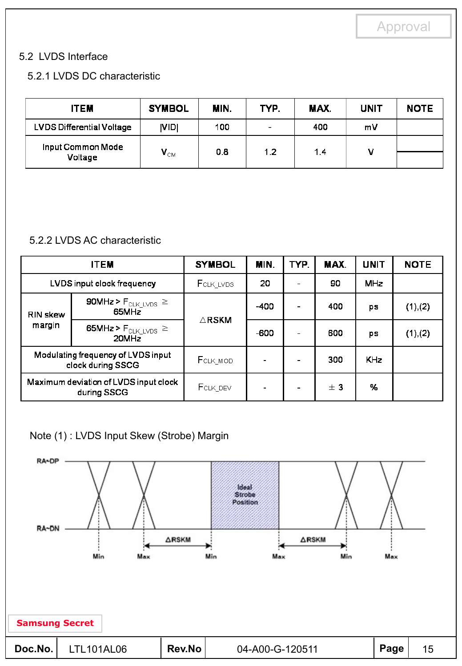### 5.2 LVDS Interface

### 5.2.1 LVDS DC characteristic

| <b>ITEM</b>                      | <b>SYMBOL</b>              | MIN. | TYP.                     | MAX. | <b>UNIT</b> | <b>NOTE</b> |
|----------------------------------|----------------------------|------|--------------------------|------|-------------|-------------|
| <b>LVDS Differential Voltage</b> | <b>NIDI</b>                | 100  | $\overline{\phantom{0}}$ | 400  | mV          |             |
| Input Common Mode                |                            | 0.8  | 1.2                      | 1.4  | v           |             |
| Voltage                          | $\mathbf{V}_{\texttt{CM}}$ |      |                          |      |             |             |

### 5.2.2 LVDS AC characteristic

|                 | <b>ITEM</b>                                             | <b>SYMBOL</b>     | MIN.   | TYP. | MAX. | <b>UNIT</b> | <b>NOTE</b> |
|-----------------|---------------------------------------------------------|-------------------|--------|------|------|-------------|-------------|
|                 | LVDS input clock frequency                              | <b>F</b> CLK_LVDS | 20     |      | 90   | <b>MHz</b>  |             |
| <b>RIN skew</b> | 90MHz > $F_{\text{CLK\_LVDS}}$ $\geq$<br>65MHz          | $\triangle$ RSKM  | $-400$ |      | 400  | ps          | (1), (2)    |
| margin          | 65MHz > $F_{\text{CLK\_LVDS}} \ge$<br>20MHz             |                   | -600   |      | 600  | ps          | (1), (2)    |
|                 | Modulating frequency of LVDS input<br>clock during SSCG | FCLK_MOD          |        |      | 300  | <b>KHz</b>  |             |
|                 | Maximum deviation of LVDS input clock<br>during SSCG    | FCLK_DEV          |        |      | ± 3  | %           |             |

### Note (1) : LVDS Input Skew (Strobe) Margin

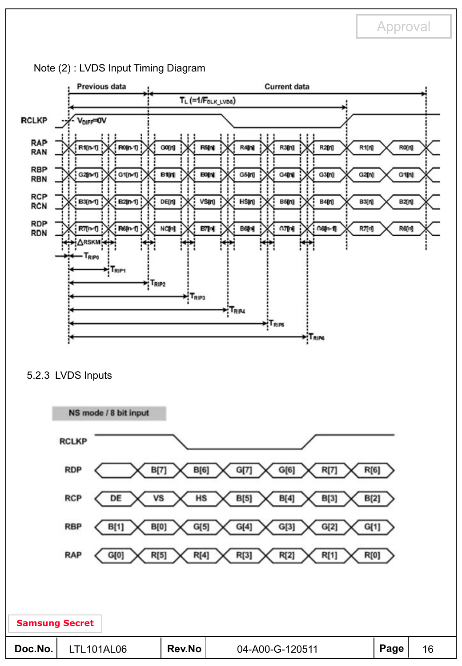

Note (2) : LVDS Input Timing Diagram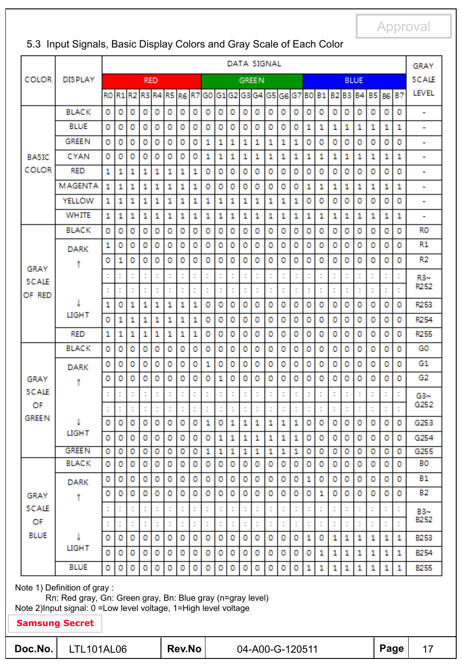|                    |                |   |   |         |            |         |    |          |    |          |                |   |    | DATA SIGNAL  |    |   |              |   |                                                                         |          |          |             |   |   |   | GRAY           |
|--------------------|----------------|---|---|---------|------------|---------|----|----------|----|----------|----------------|---|----|--------------|----|---|--------------|---|-------------------------------------------------------------------------|----------|----------|-------------|---|---|---|----------------|
| <b>COLOR</b>       | <b>DISPLAY</b> |   |   |         | <b>RED</b> |         |    |          |    |          |                |   |    | <b>GREEN</b> |    |   |              |   |                                                                         |          |          | <b>BLUE</b> |   |   |   | SCALE          |
|                    |                |   |   |         |            |         |    |          |    |          |                |   |    |              |    |   |              |   | R0 R1 R2 R3 R4 R5 R6 R7 G0 G1 G2 G3 G4 G5 G6 G7 B0 B1 B2 B3 B4 B5 B6 B7 |          |          |             |   |   |   | <b>LEVEL</b>   |
|                    | <b>BLACK</b>   | ٥ | 0 | o       | ٥          | ٥       | ٥  | o        | ٥  | ٥        | ٥              | ٥ | ٥  | o            | o  | o | ٥            | 0 | o                                                                       | ٥        | ٥        | ٥           | ٥ | ٥ | ٥ | ۰              |
|                    | <b>BLUE</b>    | ٥ | 0 | 0       | ٥          | ٥       | ٥  | o        | 0  | ٥        | ٥              | o | ٥  | o            | 0  | ٥ | ٥            | 1 | 1                                                                       | 1        | 1        | 1           | 1 | 1 | 1 | ۰              |
|                    | <b>GREEN</b>   | ٥ | 0 | ٥       | ٥          | o       | 0  | 0        | 0  | 1        | 1              | 1 | 1  | 1            | 1  | 1 | 1            | 0 | ٥                                                                       | 0        | ٥        | 0           | 0 | ٥ | ٥ | ۰              |
| <b>BASIC</b>       | <b>CYAN</b>    | o | ٥ | o       | ٥          | o       | ٥  | o        | ٥  | 1        | 1              | 1 | 1  | 1            | 1  | 1 | 1            | 1 | 1                                                                       | 1        | 1        | 1           | 1 | 1 | 1 | ۰              |
| <b>COLOR</b>       | <b>RED</b>     | 1 | 1 | 1       | 1          | 1       | 1  | 1        | 1  | ٥        | ٥              | ٥ | ٥  | ٥            | ٥  | ٥ | ٥            | o | ٥                                                                       | ٥        | ٥        | ٥           | ٥ | ٥ | ٥ | ۰              |
|                    | <b>MAGENTA</b> | 1 | 1 | 1       | 1          | 1       | 1  | 1        | 1  | ٥        | ٥              | ٥ | ٥  | o            | o  | 0 | ٥            | 1 | 1                                                                       | 1        | 1        | 1           | 1 | 1 | 1 | ۰              |
|                    | <b>YELLOW</b>  | 1 | 1 | 1       | 1          | 1       | 1  | 1        | 1  | 1        | 1              | 1 | 1  | 1            | 1  | 1 | 1            | ٥ | 0                                                                       | 0        | ٥        | ٥           | ٥ | ٥ | ٥ | ۰              |
|                    | WHITE          | 1 | 1 | 1       | 1          | 1       | 1  | 1        | 1  | 1        | 1              | 1 | 1  | 1            | 1  | 1 | 1            | 1 | 1                                                                       | 1        | 1        | 1           | 1 | 1 | 1 | ۰              |
|                    | <b>BLACK</b>   | 0 | ٥ | ٥       | ٥          | ٥       | ٥  | ٥        | 0  | ٥        | ٥              | ٥ | ٥  | ٥            | 0  | ٥ | ٥            | ٥ | ٥                                                                       | ٥        | ٥        | ٥           | ٥ | ٥ | ٥ | RO             |
|                    | <b>DARK</b>    | 1 | 0 | $\circ$ | ٥          | ٥       | ٥  | 0        | ٥  | ٥        | ٥              | ٥ | 0  | o            | ٥  | ٥ | ٥            | 0 | 0                                                                       | ٥        | ٥        | 0           | o | ٥ | ٥ | R1             |
| GRAY               | ۰              | ٥ | 1 | $\circ$ | ٥          | ٥       | 0  | 0        | ٥  | ٥        | ٥              | ٥ | ٥  | o            | ٥  | ٥ | o            | 0 | 0                                                                       | ٥        | ٥        | 0           | o | ٥ | o | R <sub>2</sub> |
| <b>SCALE</b>       |                |   |   | t       |            |         |    |          | t  | t        |                | t |    |              | t  |   |              |   | Ì,                                                                      | t        |          |             |   | ċ |   | $R3 -$         |
| OF RED             |                |   |   | t       |            |         | ÷  |          | ÷, | ċ        |                |   |    |              | ċ  |   |              |   | ÷                                                                       | t        |          |             |   | ċ | ÷ | R252           |
|                    |                | 1 | ٥ | 1       | 1          | 1       | 1  | 1        | 1  | ٥        | ٥              | ٥ | ٥  | ٥            | ٥  | ٥ | ٥            | ٥ | ٥                                                                       | ٥        | ٥        | ٥           | ٥ | ٥ | ٥ | R253           |
|                    | <b>LIGHT</b>   | o | 1 | 1       | 1          | 1       | 1  | 1        | 1  | ٥        | ٥              | ٥ | ٥  | ٥            | ٥  | 0 | ٥            | 0 | 0                                                                       | 0        | ٥        | ٥           | ٥ | ٥ | ٥ | R254           |
|                    | <b>RED</b>     | 1 | 1 | 1       | 1          | 1       | 1  | 1        | 1  | 0        | 0              | ٥ | ٥  | ٥            | 0  | ٥ | ٥            | ٥ | 0                                                                       | ٥        | ٥        | ٥           | ٥ | ٥ | ٥ | R255           |
|                    | <b>BLACK</b>   | ٥ | ٥ | ٥       | ٥          | ٥       | ٥  | ٥        | ٥  | ٥        | 0              | ٥ | ٥  | ٥            | 0  | ٥ | ٥            | ٥ | ٥                                                                       | ٥        | ٥        | ٥           | ٥ | ٥ | ٥ | G0             |
|                    | <b>DARK</b>    | ٥ | o | ٥       | ٥          | o       | ٥  | 0        | 0  | 1        | 0              | ٥ | ٥  | ٥            | ٥  | ٥ | ٥            | ٥ | ٥                                                                       | ٥        | ٥        | ٥           | ٥ | ٥ | ٥ | G1             |
| GRAY               | Ť              | o | ٥ | o       | ٥          | ٥       | 0  | 0        | ٥  | ٥        | 1              | ٥ | ٥  | o            | ٥  | o | ٥            | 0 | ٥                                                                       | ٥        | ٥        | 0           | 0 | o | ٥ | G2             |
| <b>SCALE</b>       |                |   | ċ | ċ       |            |         | t  |          | ċ  | ċ        |                |   |    |              | ċ  |   |              |   | t                                                                       | ċ        |          |             |   | t |   | $G3-$          |
| OF<br><b>GREEN</b> |                |   |   |         |            |         |    |          |    | t        |                |   |    |              | t  |   |              |   |                                                                         | t        |          |             |   |   |   | G252           |
|                    | <b>LIGHT</b>   | ٥ | ٥ | ٥       | ٥          | ٥       | ٥  | o        | ٥  | 1        | ٥              | 1 | 1  | 1            | 1  | 1 | 1            | ٥ | ٥                                                                       | ٥        | ٥        | o           | ٥ | ٥ | ٥ | G253           |
|                    |                | o | ٥ | o       | o          | o       | O. | $\Omega$ | o  | $\Omega$ | $\blacksquare$ | 1 | 1. | ×.           | 1  | 1 | $\mathbf{1}$ | o | $\Omega$                                                                | $\Omega$ | $\Omega$ | o           | o | o | 0 | G254           |
|                    | <b>GREEN</b>   | 0 | 0 | o       | o          | o       | o  | o        | 0  | 1        | 1              | 1 | 1  | 1            | 1  | 1 | 1            | 0 | 0                                                                       | 0        | o        | ٥           | 0 | 0 | o | G255           |
|                    | <b>BLACK</b>   | 0 | 0 | o       | o          | $\circ$ | o  | 0        | 0  | o        | 0              | 0 | o  | 0            | o  | 0 | 0            | 0 | 0                                                                       | o        | 0        | o           | o | o | o | <b>BO</b>      |
|                    | <b>DARK</b>    | 0 | 0 | 0       | 0          | o       | o  | o        | 0  | 0        | 0              | 0 | 0  | 0            | 0  | o | о            | 1 | 0                                                                       | 0        | o        | 0           | 0 | 0 | ٥ | <b>B1</b>      |
| GRAY               | Ť              | o | o | 0       | o          | o       | 0  | 0        | 0  | 0        | o              | 0 | o  | o            | 0  | 0 | o            | 0 | 1                                                                       | 0        | o        | o           | ٥ | 0 | 0 | <b>B2</b>      |
| SCALE              |                |   |   | t       |            |         |    |          | t  | t        |                |   |    |              | Ì, |   |              |   |                                                                         | t        |          |             |   | t |   | B3~<br>B252    |
| OF                 |                |   |   |         |            |         |    |          |    | t        |                |   |    |              | t  |   |              |   |                                                                         |          |          |             |   | ÷ |   |                |
| <b>BLUE</b>        | <b>LIGHT</b>   | o | o | o       | o          | o       | 0  | o        | 0  | o        | o              | 0 | 0  | o            | o  | o | o            | 1 | 0                                                                       | 1        | 1        | 1           | 1 | 1 | 1 | <b>B253</b>    |
|                    |                | 0 | o | 0       | $\circ$    | o       | o  | 0        | 0  | 0        | 0              | 0 | 0  | 0            | 0  | 0 | 0            | 0 | 1                                                                       | 1        | 1        | 1           | 1 | 1 | 1 | B254           |
|                    | <b>BLUE</b>    | o | o | o       | o          | o       | 0  | 0        | 0  | 0        | o              | ٥ | о  | 0            | 0  | 0 | 0            | 1 | 1                                                                       | 1        | 1        | 1           | 1 | 1 | 1 | <b>B255</b>    |

### 5.3 Input Signals, Basic Display Colors and Gray Scale of Each Color

Note 2)Input signal: 0 =Low level voltage, 1=High level voltage

| Doc.No. | LTL <sub>10</sub> |
|---------|-------------------|
|         |                   |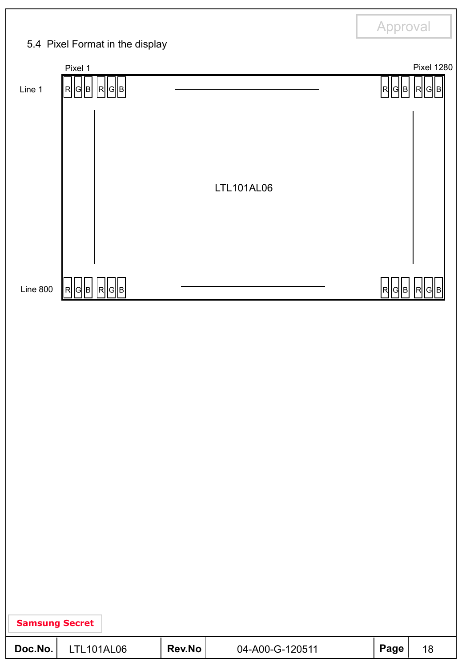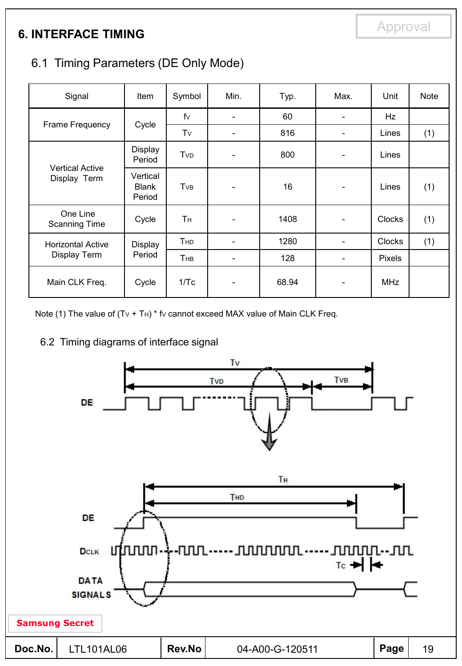# **6. INTERFACE TIMING**

# 6.1 Timing Parameters (DE Only Mode)

| Signal                                 | Item                               | Symbol     | Min.                         | Typ.  | Max. | Unit          | Note |
|----------------------------------------|------------------------------------|------------|------------------------------|-------|------|---------------|------|
|                                        |                                    | $f_V$      | $\qquad \qquad \blacksquare$ | 60    |      | Hz            |      |
| Frame Frequency                        | Cycle                              | Tv         |                              | 816   |      | Lines         | (1)  |
|                                        | <b>Display</b><br>Period           | TvD        | $\overline{\phantom{a}}$     | 800   |      | Lines         |      |
| <b>Vertical Active</b><br>Display Term | Vertical<br><b>Blank</b><br>Period | TvB        | $\qquad \qquad \blacksquare$ | 16    |      | Lines         | (1)  |
| One Line<br><b>Scanning Time</b>       | Cycle                              | Τн         | -                            | 1408  |      | Clocks        | (1)  |
| <b>Horizontal Active</b>               | Display                            | <b>THD</b> | $\overline{\phantom{a}}$     | 1280  | -    | <b>Clocks</b> | (1)  |
| Display Term                           | Period                             | THB        | -                            | 128   |      | Pixels        |      |
| Main CLK Freq.                         | Cycle                              | 1/Tc       | $\overline{\phantom{0}}$     | 68.94 |      | <b>MHz</b>    |      |

Note (1) The value of  $(Tv + Th) * fv$  cannot exceed MAX value of Main CLK Freq.

### 6.2 Timing diagrams of interface signal

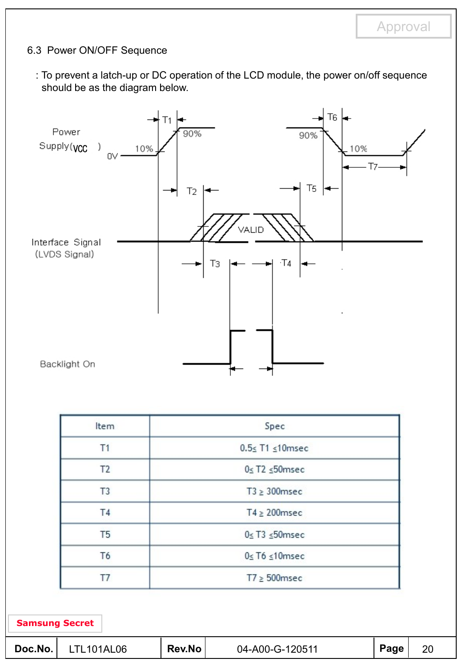### 6.3 Power ON/OFF Sequence

: To prevent a latch-up or DC operation of the LCD module, the power on/off sequence should be as the diagram below.



| Item           | Spec                       |  |
|----------------|----------------------------|--|
| T1             | $0.5 \leq T1 \leq 10$ msec |  |
| T <sub>2</sub> | $0 \leq T2 \leq 50$ msec   |  |
| T <sub>3</sub> | $T3 \geq 300$ msec         |  |
| Τ4             | $T4 \geq 200$ msec         |  |
| T <sub>5</sub> | $0 \leq T3 \leq 50$ msec   |  |
| T <sub>6</sub> | $0 \leq T6 \leq 10$ msec   |  |
| T7             | $T7 \geq 500$ msec         |  |

| Rev.No<br>Doc.No.<br>04-A00-G-120511<br><b>LO6</b><br>101AI | Page | 20 |
|-------------------------------------------------------------|------|----|
|-------------------------------------------------------------|------|----|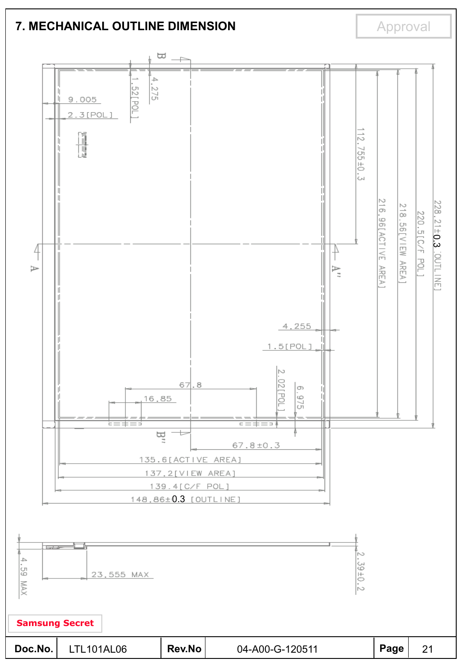### **7. MECHANICAL OUTLINE DIMENSION**

Approval

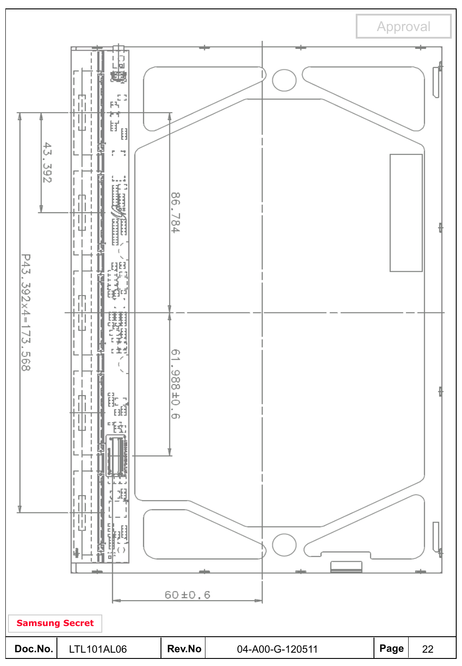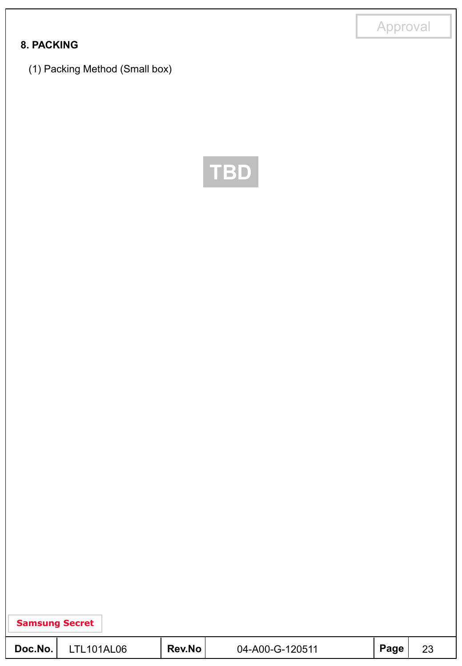### **8. PACKING**

(1) Packing Method (Small box)



| Doc.No. | <b>LTL101AL06</b> | <b>Rev.No</b> | 04-A00-G-120511 | Page |  |
|---------|-------------------|---------------|-----------------|------|--|
|---------|-------------------|---------------|-----------------|------|--|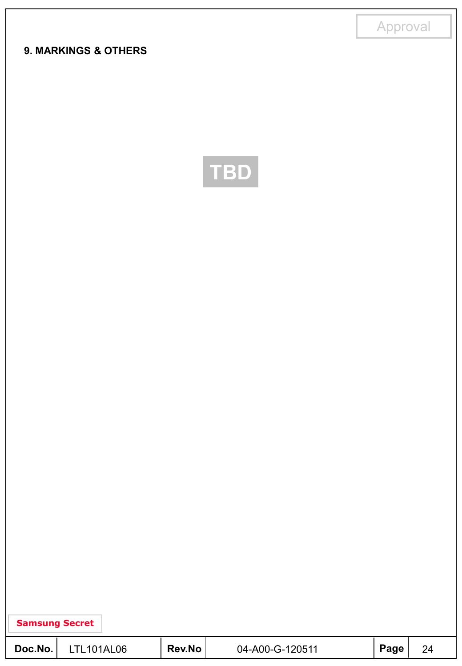### **9. MARKINGS & OTHERS**



| Samsung Secret |  |
|----------------|--|
|----------------|--|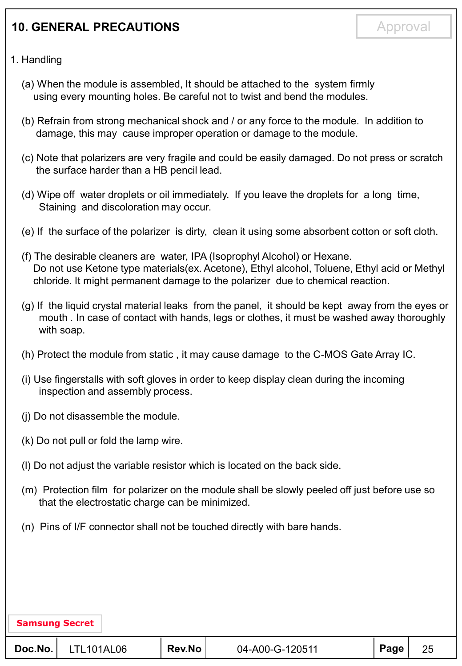# **10. GENERAL PRECAUTIONS**

#### 1. Handling

- (a) When the module is assembled, It should be attached to the system firmly using every mounting holes. Be careful not to twist and bend the modules.
- (b) Refrain from strong mechanical shock and / or any force to the module. In addition to damage, this may cause improper operation or damage to the module.
- (c) Note that polarizers are very fragile and could be easily damaged. Do not press or scratch the surface harder than a HB pencil lead.
- (d) Wipe off water droplets or oil immediately. If you leave the droplets for a long time, Staining and discoloration may occur.
- (e) If the surface of the polarizer is dirty, clean it using some absorbent cotton or soft cloth.
- (f) The desirable cleaners are water, IPA (Isoprophyl Alcohol) or Hexane. Do not use Ketone type materials(ex. Acetone), Ethyl alcohol, Toluene, Ethyl acid or Methyl chloride. It might permanent damage to the polarizer due to chemical reaction.
- (g) If the liquid crystal material leaks from the panel, it should be kept away from the eyes or mouth . In case of contact with hands, legs or clothes, it must be washed away thoroughly with soap.
- (h) Protect the module from static , it may cause damage to the C-MOS Gate Array IC.
- (i) Use fingerstalls with soft gloves in order to keep display clean during the incoming inspection and assembly process.
- (j) Do not disassemble the module.
- (k) Do not pull or fold the lamp wire.
- (l) Do not adjust the variable resistor which is located on the back side.
- (m) Protection film for polarizer on the module shall be slowly peeled off just before use so that the electrostatic charge can be minimized.
- (n) Pins of I/F connector shall not be touched directly with bare hands.